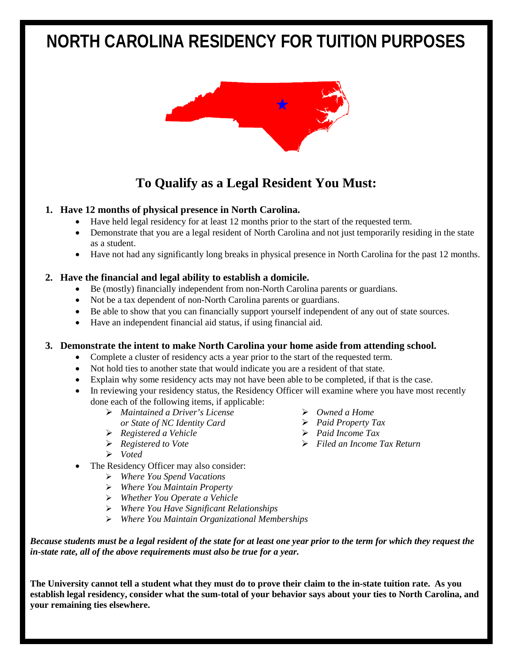### **NORTH CAROLINA RESIDENCY FOR TUITION PURPOSES**



### **To Qualify as a Legal Resident You Must:**

#### **1. Have 12 months of physical presence in North Carolina.**

- Have held legal residency for at least 12 months prior to the start of the requested term.
- Demonstrate that you are a legal resident of North Carolina and not just temporarily residing in the state as a student.
- Have not had any significantly long breaks in physical presence in North Carolina for the past 12 months.

#### **2. Have the financial and legal ability to establish a domicile.**

- Be (mostly) financially independent from non-North Carolina parents or guardians.
- Not be a tax dependent of non-North Carolina parents or guardians.
- Be able to show that you can financially support yourself independent of any out of state sources.
- Have an independent financial aid status, if using financial aid.

#### **3. Demonstrate the intent to make North Carolina your home aside from attending school.**

- Complete a cluster of residency acts a year prior to the start of the requested term.
- Not hold ties to another state that would indicate you are a resident of that state.
- Explain why some residency acts may not have been able to be completed, if that is the case.
- In reviewing your residency status, the Residency Officer will examine where you have most recently done each of the following items, if applicable:
	- *Maintained a Driver's License* 
		- *or State of NC Identity Card*
	- *Registered a Vehicle*
	- *Registered to Vote*
	- *Voted*
- The Residency Officer may also consider:
	- *Where You Spend Vacations*
	- *Where You Maintain Property*
	- *Whether You Operate a Vehicle*
	- *Where You Have Significant Relationships*
	- *Where You Maintain Organizational Memberships*

*Because students must be a legal resident of the state for at least one year prior to the term for which they request the in-state rate, all of the above requirements must also be true for a year.* 

**The University cannot tell a student what they must do to prove their claim to the in-state tuition rate. As you establish legal residency, consider what the sum-total of your behavior says about your ties to North Carolina, and your remaining ties elsewhere.** 

- *Owned a Home*
- *Paid Property Tax*
- *Paid Income Tax*
- *Filed an Income Tax Return*